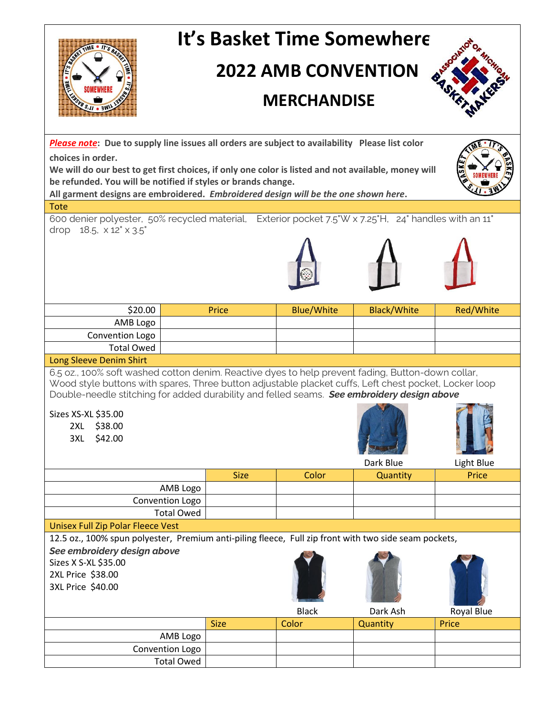| It's Basket Time Somewhere                                                                                                                                                                                                                                                                               |                   |             |                   |                    |            |
|----------------------------------------------------------------------------------------------------------------------------------------------------------------------------------------------------------------------------------------------------------------------------------------------------------|-------------------|-------------|-------------------|--------------------|------------|
| <b>2022 AMB CONVENTION</b>                                                                                                                                                                                                                                                                               |                   |             |                   |                    |            |
| <b>MERCHANDISE</b>                                                                                                                                                                                                                                                                                       |                   |             |                   |                    |            |
| Please note: Due to supply line issues all orders are subject to availability Please list color                                                                                                                                                                                                          |                   |             |                   |                    |            |
| choices in order.<br>We will do our best to get first choices, if only one color is listed and not available, money will<br>be refunded. You will be notified if styles or brands change.                                                                                                                |                   |             |                   |                    |            |
| All garment designs are embroidered. Embroidered design will be the one shown here.                                                                                                                                                                                                                      |                   |             |                   |                    |            |
| <b>Tote</b>                                                                                                                                                                                                                                                                                              |                   |             |                   |                    |            |
| 600 denier polyester, 50% recycled material, Exterior pocket 7.5"W x 7.25"H, 24" handles with an 11"<br>drop $18.5$ , $\times$ $12" \times 3.5"$                                                                                                                                                         |                   |             |                   |                    |            |
|                                                                                                                                                                                                                                                                                                          |                   |             |                   |                    |            |
| \$20.00                                                                                                                                                                                                                                                                                                  |                   | Price       | <b>Blue/White</b> | <b>Black/White</b> | Red/White  |
| AMB Logo                                                                                                                                                                                                                                                                                                 |                   |             |                   |                    |            |
| Convention Logo<br><b>Total Owed</b>                                                                                                                                                                                                                                                                     |                   |             |                   |                    |            |
| Long Sleeve Denim Shirt                                                                                                                                                                                                                                                                                  |                   |             |                   |                    |            |
| 6.5 oz., 100% soft washed cotton denim. Reactive dyes to help prevent fading, Button-down collar,<br>Wood style buttons with spares, Three button adjustable placket cuffs, Left chest pocket, Locker loop<br>Double-needle stitching for added durability and felled seams. See embroidery design above |                   |             |                   |                    |            |
| Sizes XS-XL \$35.00<br>\$38.00<br>2XL<br>\$42.00<br>3XL                                                                                                                                                                                                                                                  |                   |             |                   |                    |            |
|                                                                                                                                                                                                                                                                                                          |                   |             |                   | Dark Blue          | Light Blue |
|                                                                                                                                                                                                                                                                                                          | AMB Logo          | <b>Size</b> | Color             | Quantity           | Price      |
|                                                                                                                                                                                                                                                                                                          | Convention Logo   |             |                   |                    |            |
|                                                                                                                                                                                                                                                                                                          | <b>Total Owed</b> |             |                   |                    |            |
| <b>Unisex Full Zip Polar Fleece Vest</b>                                                                                                                                                                                                                                                                 |                   |             |                   |                    |            |
| 12.5 oz., 100% spun polyester, Premium anti-piling fleece, Full zip front with two side seam pockets,                                                                                                                                                                                                    |                   |             |                   |                    |            |
| See embroidery design above                                                                                                                                                                                                                                                                              |                   |             |                   |                    |            |
| Sizes X S-XL \$35.00                                                                                                                                                                                                                                                                                     |                   |             |                   |                    |            |
| 2XL Price \$38.00                                                                                                                                                                                                                                                                                        |                   |             |                   |                    |            |
| 3XL Price \$40.00                                                                                                                                                                                                                                                                                        |                   |             |                   |                    |            |
|                                                                                                                                                                                                                                                                                                          |                   |             | <b>Black</b>      | Dark Ash           | Royal Blue |
|                                                                                                                                                                                                                                                                                                          |                   | <b>Size</b> | Color             | Quantity           | Price      |
| AMB Logo                                                                                                                                                                                                                                                                                                 |                   |             |                   |                    |            |
| Convention Logo                                                                                                                                                                                                                                                                                          |                   |             |                   |                    |            |
|                                                                                                                                                                                                                                                                                                          | <b>Total Owed</b> |             |                   |                    |            |